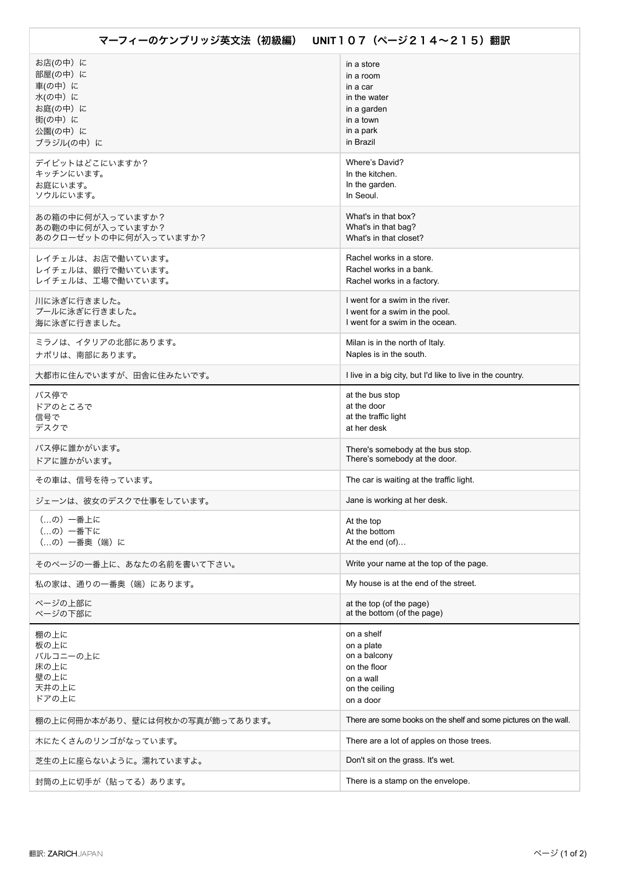| お店(の中) に                       | in a store                                                       |
|--------------------------------|------------------------------------------------------------------|
| 部屋(の中)に                        | in a room                                                        |
| 車(の中)に                         | in a car                                                         |
| 水(の中) に                        | in the water                                                     |
| お庭(の中)に                        | in a garden                                                      |
| 街(の中)に                         | in a town                                                        |
| 公園(の中)に                        | in a park                                                        |
| ブラジル(の中)に                      | in Brazil                                                        |
| デイビットはどこにいますか?                 | Where's David?                                                   |
| キッチンにいます。                      | In the kitchen.                                                  |
| お庭にいます。                        | In the garden.                                                   |
| ソウルにいます。                       | In Seoul.                                                        |
| あの箱の中に何が入っていますか?               | What's in that box?                                              |
| あの鞄の中に何が入っていますか?               | What's in that bag?                                              |
| あのクローゼットの中に何が入っていますか?          | What's in that closet?                                           |
| レイチェルは、お店で働いています。              | Rachel works in a store.                                         |
| レイチェルは、銀行で働いています。              | Rachel works in a bank.                                          |
| レイチェルは、工場で働いています。              | Rachel works in a factory.                                       |
| 川に泳ぎに行きました。                    | I went for a swim in the river.                                  |
| プールに泳ぎに行きました。                  | I went for a swim in the pool.                                   |
| 海に泳ぎに行きました。                    | I went for a swim in the ocean.                                  |
| ミラノは、イタリアの北部にあります。             | Milan is in the north of Italy.                                  |
| ナポリは、南部にあります。                  | Naples is in the south.                                          |
| 大都市に住んでいますが、田舎に住みたいです。         | I live in a big city, but I'd like to live in the country.       |
| バス停で                           | at the bus stop                                                  |
| ドアのところで                        | at the door                                                      |
| 信号で                            | at the traffic light                                             |
| デスクで                           | at her desk                                                      |
| バス停に誰かがいます。                    | There's somebody at the bus stop.                                |
| ドアに誰かがいます。                     | There's somebody at the door.                                    |
| その車は、信号を待っています。                | The car is waiting at the traffic light.                         |
| ジェーンは、彼女のデスクで仕事をしています。         | Jane is working at her desk.                                     |
| (…の) 一番上に                      | At the top                                                       |
| (の) 一番下に                       | At the bottom                                                    |
| (の) 一番奥 (端) に                  | At the end $(of)$                                                |
| そのページの一番上に、あなたの名前を書いて下さい。      | Write your name at the top of the page.                          |
| 私の家は、通りの一番奥(端)にあります。           | My house is at the end of the street.                            |
| ページの上部に                        | at the top (of the page)                                         |
| ページの下部に                        | at the bottom (of the page)                                      |
| 棚の上に                           | on a shelf                                                       |
| 板の上に                           | on a plate                                                       |
| バルコニーの上に                       | on a balcony                                                     |
| 床の上に                           | on the floor                                                     |
| 壁の上に                           | on a wall                                                        |
| 天井の上に                          | on the ceiling                                                   |
| ドアの上に                          | on a door                                                        |
| 棚の上に何冊か本があり、壁には何枚かの写真が飾ってあります。 | There are some books on the shelf and some pictures on the wall. |
| 木にたくさんのリンゴがなっています。             | There are a lot of apples on those trees.                        |
| 芝生の上に座らないように。濡れていますよ。          | Don't sit on the grass. It's wet.                                |
| 封筒の上に切手が(貼ってる)あります。            | There is a stamp on the envelope.                                |